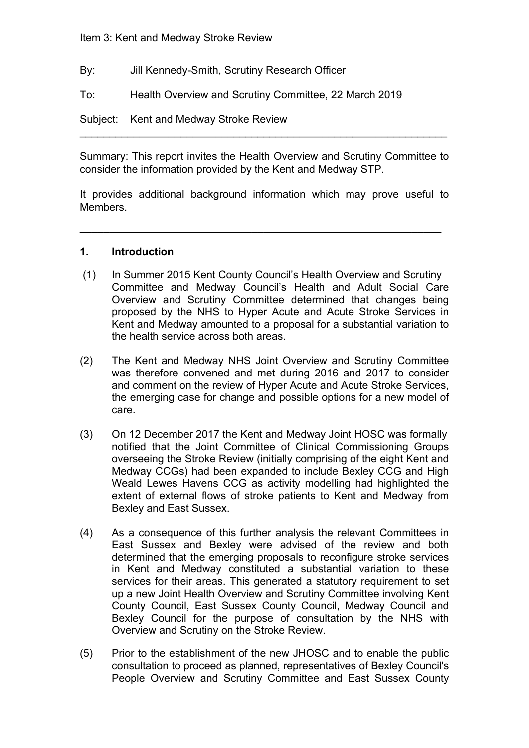Item 3: Kent and Medway Stroke Review

- By: Jill Kennedy-Smith, Scrutiny Research Officer
- To: Health Overview and Scrutiny Committee, 22 March 2019

Subject: Kent and Medway Stroke Review

Summary: This report invites the Health Overview and Scrutiny Committee to consider the information provided by the Kent and Medway STP.

 $\mathcal{L}_\text{max}$  , and the contract of the contract of the contract of the contract of the contract of the contract of

It provides additional background information which may prove useful to Members.

 $\mathcal{L}_\text{max}$  , and the contract of the contract of the contract of the contract of the contract of the contract of the contract of the contract of the contract of the contract of the contract of the contract of the contr

#### **1. Introduction**

- (1) In Summer 2015 Kent County Council's Health Overview and Scrutiny Committee and Medway Council's Health and Adult Social Care Overview and Scrutiny Committee determined that changes being proposed by the NHS to Hyper Acute and Acute Stroke Services in Kent and Medway amounted to a proposal for a substantial variation to the health service across both areas.
- (2) The Kent and Medway NHS Joint Overview and Scrutiny Committee was therefore convened and met during 2016 and 2017 to consider and comment on the review of Hyper Acute and Acute Stroke Services, the emerging case for change and possible options for a new model of care.
- (3) On 12 December 2017 the Kent and Medway Joint HOSC was formally notified that the Joint Committee of Clinical Commissioning Groups overseeing the Stroke Review (initially comprising of the eight Kent and Medway CCGs) had been expanded to include Bexley CCG and High Weald Lewes Havens CCG as activity modelling had highlighted the extent of external flows of stroke patients to Kent and Medway from Bexley and East Sussex.
- (4) As a consequence of this further analysis the relevant Committees in East Sussex and Bexley were advised of the review and both determined that the emerging proposals to reconfigure stroke services in Kent and Medway constituted a substantial variation to these services for their areas. This generated a statutory requirement to set up a new Joint Health Overview and Scrutiny Committee involving Kent County Council, East Sussex County Council, Medway Council and Bexley Council for the purpose of consultation by the NHS with Overview and Scrutiny on the Stroke Review.
- (5) Prior to the establishment of the new JHOSC and to enable the public consultation to proceed as planned, representatives of Bexley Council's People Overview and Scrutiny Committee and East Sussex County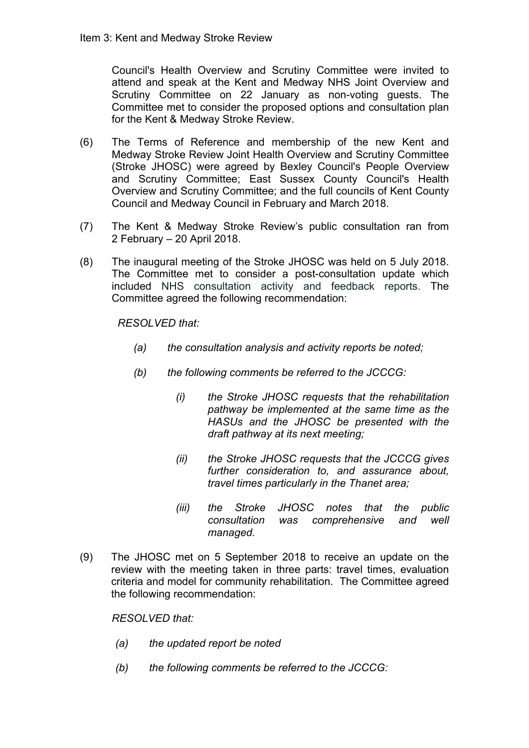Council's Health Overview and Scrutiny Committee were invited to attend and speak at the Kent and Medway NHS Joint Overview and Scrutiny Committee on 22 January as non-voting guests. The Committee met to consider the proposed options and consultation plan for the Kent & Medway Stroke Review.

- (6) The Terms of Reference and membership of the new Kent and Medway Stroke Review Joint Health Overview and Scrutiny Committee (Stroke JHOSC) were agreed by Bexley Council's People Overview and Scrutiny Committee; East Sussex County Council's Health Overview and Scrutiny Committee; and the full councils of Kent County Council and Medway Council in February and March 2018.
- (7) The Kent & Medway Stroke Review's public consultation ran from 2 February – 20 April 2018.
- (8) The inaugural meeting of the Stroke JHOSC was held on 5 July 2018. The Committee met to consider a post-consultation update which included NHS consultation activity and feedback reports. The Committee agreed the following recommendation:

*RESOLVED that:*

- *(a) the consultation analysis and activity reports be noted;*
- *(b) the following comments be referred to the JCCCG:*
	- *(i) the Stroke JHOSC requests that the rehabilitation pathway be implemented at the same time as the HASUs and the JHOSC be presented with the draft pathway at its next meeting;*
	- *(ii) the Stroke JHOSC requests that the JCCCG gives further consideration to, and assurance about, travel times particularly in the Thanet area;*
	- *(iii) the Stroke JHOSC notes that the public consultation was comprehensive and well managed.*
- (9) The JHOSC met on 5 September 2018 to receive an update on the review with the meeting taken in three parts: travel times, evaluation criteria and model for community rehabilitation. The Committee agreed the following recommendation:

*RESOLVED that:*

- *(a) the updated report be noted*
- *(b) the following comments be referred to the JCCCG:*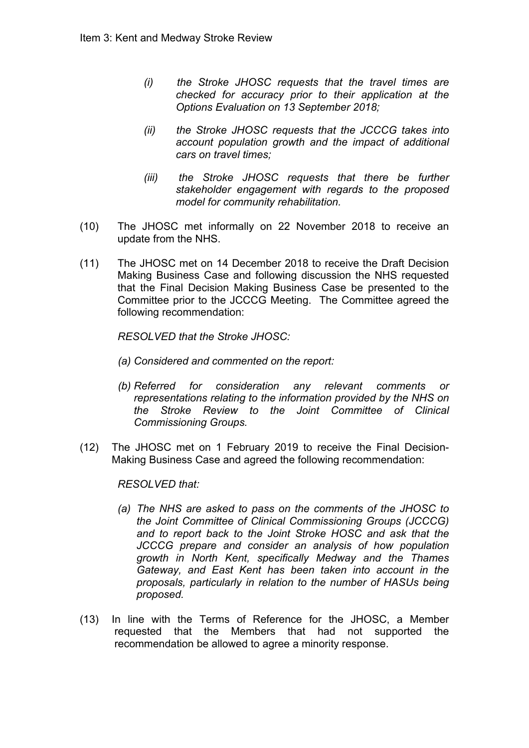- *(i) the Stroke JHOSC requests that the travel times are checked for accuracy prior to their application at the Options Evaluation on 13 September 2018;*
- *(ii) the Stroke JHOSC requests that the JCCCG takes into account population growth and the impact of additional cars on travel times;*
- *(iii) the Stroke JHOSC requests that there be further stakeholder engagement with regards to the proposed model for community rehabilitation.*
- (10) The JHOSC met informally on 22 November 2018 to receive an update from the NHS.
- (11) The JHOSC met on 14 December 2018 to receive the Draft Decision Making Business Case and following discussion the NHS requested that the Final Decision Making Business Case be presented to the Committee prior to the JCCCG Meeting. The Committee agreed the following recommendation:

*RESOLVED that the Stroke JHOSC:*

- *(a) Considered and commented on the report:*
- *(b) Referred for consideration any relevant comments or representations relating to the information provided by the NHS on the Stroke Review to the Joint Committee of Clinical Commissioning Groups.*
- (12) The JHOSC met on 1 February 2019 to receive the Final Decision-Making Business Case and agreed the following recommendation:

*RESOLVED that:*

- *(a) The NHS are asked to pass on the comments of the JHOSC to the Joint Committee of Clinical Commissioning Groups (JCCCG) and to report back to the Joint Stroke HOSC and ask that the JCCCG prepare and consider an analysis of how population growth in North Kent, specifically Medway and the Thames Gateway, and East Kent has been taken into account in the proposals, particularly in relation to the number of HASUs being proposed.*
- (13) In line with the Terms of Reference for the JHOSC, a Member requested that the Members that had not supported the recommendation be allowed to agree a minority response.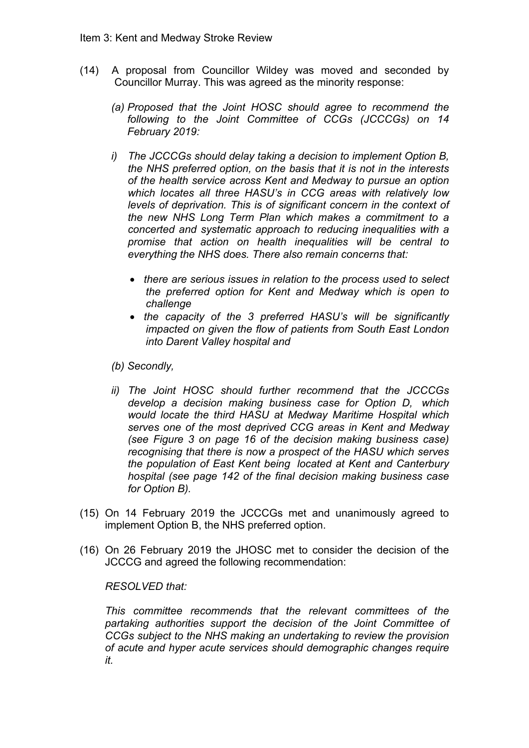- (14) A proposal from Councillor Wildey was moved and seconded by Councillor Murray. This was agreed as the minority response:
	- *(a) Proposed that the Joint HOSC should agree to recommend the following to the Joint Committee of CCGs (JCCCGs) on 14 February 2019:*
	- *i) The JCCCGs should delay taking a decision to implement Option B, the NHS preferred option, on the basis that it is not in the interests of the health service across Kent and Medway to pursue an option which locates all three HASU's in CCG areas with relatively low levels of deprivation. This is of significant concern in the context of the new NHS Long Term Plan which makes a commitment to a concerted and systematic approach to reducing inequalities with a promise that action on health inequalities will be central to everything the NHS does. There also remain concerns that:*
		- *there are serious issues in relation to the process used to select the preferred option for Kent and Medway which is open to challenge*
		- *the capacity of the 3 preferred HASU's will be significantly impacted on given the flow of patients from South East London into Darent Valley hospital and*
	- *(b) Secondly,*
	- *ii) The Joint HOSC should further recommend that the JCCCGs develop a decision making business case for Option D, which would locate the third HASU at Medway Maritime Hospital which serves one of the most deprived CCG areas in Kent and Medway (see Figure 3 on page 16 of the decision making business case) recognising that there is now a prospect of the HASU which serves the population of East Kent being located at Kent and Canterbury hospital (see page 142 of the final decision making business case for Option B).*
- (15) On 14 February 2019 the JCCCGs met and unanimously agreed to implement Option B, the NHS preferred option.
- (16) On 26 February 2019 the JHOSC met to consider the decision of the JCCCG and agreed the following recommendation:

#### *RESOLVED that:*

*This committee recommends that the relevant committees of the partaking authorities support the decision of the Joint Committee of CCGs subject to the NHS making an undertaking to review the provision of acute and hyper acute services should demographic changes require it.*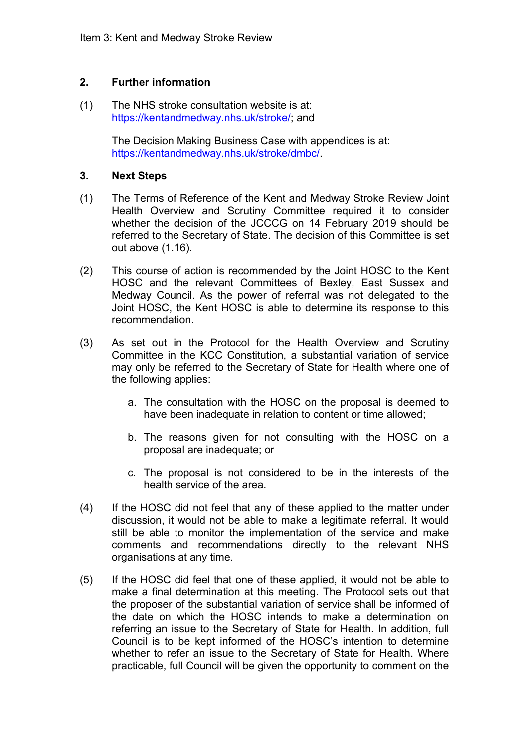# **2. Further information**

(1) The NHS stroke consultation website is at: <https://kentandmedway.nhs.uk/stroke/>; and

> The Decision Making Business Case with appendices is at: [https://kentandmedway.nhs.uk/stroke/dmbc/.](https://kentandmedway.nhs.uk/stroke/dmbc/)

### **3. Next Steps**

- (1) The Terms of Reference of the Kent and Medway Stroke Review Joint Health Overview and Scrutiny Committee required it to consider whether the decision of the JCCCG on 14 February 2019 should be referred to the Secretary of State. The decision of this Committee is set out above (1.16).
- (2) This course of action is recommended by the Joint HOSC to the Kent HOSC and the relevant Committees of Bexley, East Sussex and Medway Council. As the power of referral was not delegated to the Joint HOSC, the Kent HOSC is able to determine its response to this recommendation.
- (3) As set out in the Protocol for the Health Overview and Scrutiny Committee in the KCC Constitution, a substantial variation of service may only be referred to the Secretary of State for Health where one of the following applies:
	- a. The consultation with the HOSC on the proposal is deemed to have been inadequate in relation to content or time allowed;
	- b. The reasons given for not consulting with the HOSC on a proposal are inadequate; or
	- c. The proposal is not considered to be in the interests of the health service of the area.
- (4) If the HOSC did not feel that any of these applied to the matter under discussion, it would not be able to make a legitimate referral. It would still be able to monitor the implementation of the service and make comments and recommendations directly to the relevant NHS organisations at any time.
- (5) If the HOSC did feel that one of these applied, it would not be able to make a final determination at this meeting. The Protocol sets out that the proposer of the substantial variation of service shall be informed of the date on which the HOSC intends to make a determination on referring an issue to the Secretary of State for Health. In addition, full Council is to be kept informed of the HOSC's intention to determine whether to refer an issue to the Secretary of State for Health. Where practicable, full Council will be given the opportunity to comment on the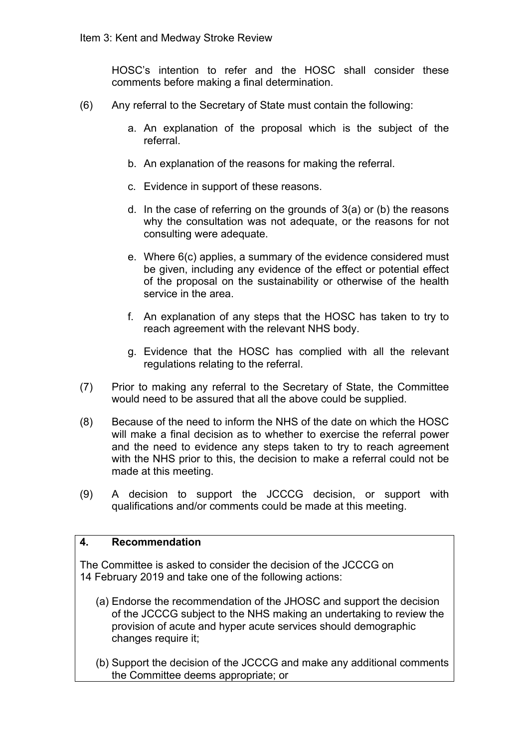HOSC's intention to refer and the HOSC shall consider these comments before making a final determination.

- (6) Any referral to the Secretary of State must contain the following:
	- a. An explanation of the proposal which is the subject of the referral.
	- b. An explanation of the reasons for making the referral.
	- c. Evidence in support of these reasons.
	- d. In the case of referring on the grounds of 3(a) or (b) the reasons why the consultation was not adequate, or the reasons for not consulting were adequate.
	- e. Where 6(c) applies, a summary of the evidence considered must be given, including any evidence of the effect or potential effect of the proposal on the sustainability or otherwise of the health service in the area.
	- f. An explanation of any steps that the HOSC has taken to try to reach agreement with the relevant NHS body.
	- g. Evidence that the HOSC has complied with all the relevant regulations relating to the referral.
- (7) Prior to making any referral to the Secretary of State, the Committee would need to be assured that all the above could be supplied.
- (8) Because of the need to inform the NHS of the date on which the HOSC will make a final decision as to whether to exercise the referral power and the need to evidence any steps taken to try to reach agreement with the NHS prior to this, the decision to make a referral could not be made at this meeting.
- (9) A decision to support the JCCCG decision, or support with qualifications and/or comments could be made at this meeting.

#### **4. Recommendation**

The Committee is asked to consider the decision of the JCCCG on 14 February 2019 and take one of the following actions:

- (a) Endorse the recommendation of the JHOSC and support the decision of the JCCCG subject to the NHS making an undertaking to review the provision of acute and hyper acute services should demographic changes require it;
- (b) Support the decision of the JCCCG and make any additional comments the Committee deems appropriate; or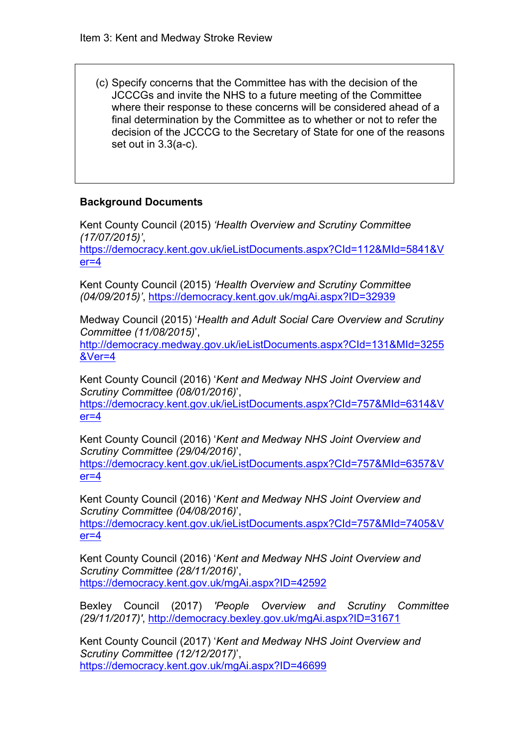(c) Specify concerns that the Committee has with the decision of the JCCCGs and invite the NHS to a future meeting of the Committee where their response to these concerns will be considered ahead of a final determination by the Committee as to whether or not to refer the decision of the JCCCG to the Secretary of State for one of the reasons set out in 3.3(a-c).

# **Background Documents**

Kent County Council (2015) *'Health Overview and Scrutiny Committee (17/07/2015)'*, [https://democracy.kent.gov.uk/ieListDocuments.aspx?CId=112&MId=5841&V](https://democracy.kent.gov.uk/ieListDocuments.aspx?CId=112&MId=5841&Ver=4)  $er=4$ 

Kent County Council (2015) *'Health Overview and Scrutiny Committee (04/09/2015)'*, <https://democracy.kent.gov.uk/mgAi.aspx?ID=32939>

Medway Council (2015) '*Health and Adult Social Care Overview and Scrutiny Committee (11/08/2015)*',

[http://democracy.medway.gov.uk/ieListDocuments.aspx?CId=131&MId=3255](http://democracy.medway.gov.uk/ieListDocuments.aspx?CId=131&MId=3255&Ver=4) [&Ver=4](http://democracy.medway.gov.uk/ieListDocuments.aspx?CId=131&MId=3255&Ver=4)

Kent County Council (2016) '*Kent and Medway NHS Joint Overview and Scrutiny Committee (08/01/2016)*',

[https://democracy.kent.gov.uk/ieListDocuments.aspx?CId=757&MId=6314&V](https://democracy.kent.gov.uk/ieListDocuments.aspx?CId=757&MId=6314&Ver=4)  $er=4$ 

Kent County Council (2016) '*Kent and Medway NHS Joint Overview and Scrutiny Committee (29/04/2016)*', [https://democracy.kent.gov.uk/ieListDocuments.aspx?CId=757&MId=6357&V](https://democracy.kent.gov.uk/ieListDocuments.aspx?CId=757&MId=6357&Ver=4) [er=4](https://democracy.kent.gov.uk/ieListDocuments.aspx?CId=757&MId=6357&Ver=4)

Kent County Council (2016) '*Kent and Medway NHS Joint Overview and Scrutiny Committee (04/08/2016)*', [https://democracy.kent.gov.uk/ieListDocuments.aspx?CId=757&MId=7405&V](https://democracy.kent.gov.uk/ieListDocuments.aspx?CId=757&MId=7405&Ver=4)  $er=4$ 

Kent County Council (2016) '*Kent and Medway NHS Joint Overview and Scrutiny Committee (28/11/2016)*', <https://democracy.kent.gov.uk/mgAi.aspx?ID=42592>

Bexley Council (2017) *'People Overview and Scrutiny Committee (29/11/2017)'*, <http://democracy.bexley.gov.uk/mgAi.aspx?ID=31671>

Kent County Council (2017) '*Kent and Medway NHS Joint Overview and Scrutiny Committee (12/12/2017)*', <https://democracy.kent.gov.uk/mgAi.aspx?ID=46699>